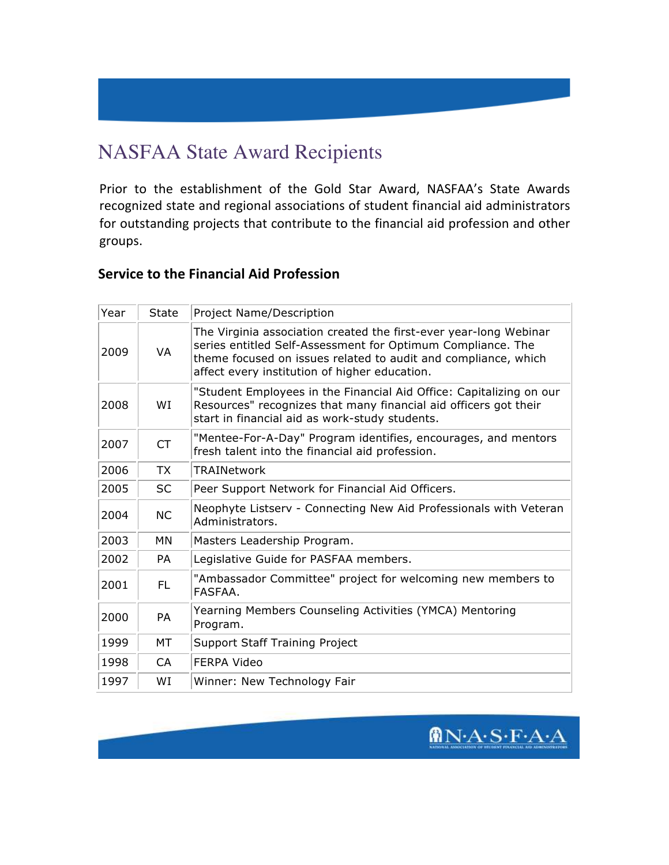# NASFAA State Award Recipients

Prior to the establishment of the Gold Star Award, NASFAA's State Awards recognized state and regional associations of student financial aid administrators for outstanding projects that contribute to the financial aid profession and other groups.

#### **Service to the Financial Aid Profession**

| Year | <b>State</b> | Project Name/Description                                                                                                                                                                                                                            |
|------|--------------|-----------------------------------------------------------------------------------------------------------------------------------------------------------------------------------------------------------------------------------------------------|
| 2009 | <b>VA</b>    | The Virginia association created the first-ever year-long Webinar<br>series entitled Self-Assessment for Optimum Compliance. The<br>theme focused on issues related to audit and compliance, which<br>affect every institution of higher education. |
| 2008 | WI           | "Student Employees in the Financial Aid Office: Capitalizing on our<br>Resources" recognizes that many financial aid officers got their<br>start in financial aid as work-study students.                                                           |
| 2007 | <b>CT</b>    | "Mentee-For-A-Day" Program identifies, encourages, and mentors<br>fresh talent into the financial aid profession.                                                                                                                                   |
| 2006 | <b>TX</b>    | <b>TRAINetwork</b>                                                                                                                                                                                                                                  |
| 2005 | <b>SC</b>    | Peer Support Network for Financial Aid Officers.                                                                                                                                                                                                    |
| 2004 | <b>NC</b>    | Neophyte Listserv - Connecting New Aid Professionals with Veteran<br>Administrators.                                                                                                                                                                |
| 2003 | MN           | Masters Leadership Program.                                                                                                                                                                                                                         |
| 2002 | <b>PA</b>    | Legislative Guide for PASFAA members.                                                                                                                                                                                                               |
| 2001 | FL           | "Ambassador Committee" project for welcoming new members to<br>FASFAA.                                                                                                                                                                              |
| 2000 | <b>PA</b>    | Yearning Members Counseling Activities (YMCA) Mentoring<br>Program.                                                                                                                                                                                 |
| 1999 | МT           | <b>Support Staff Training Project</b>                                                                                                                                                                                                               |
| 1998 | CA           | <b>FERPA Video</b>                                                                                                                                                                                                                                  |
| 1997 | WI           | Winner: New Technology Fair                                                                                                                                                                                                                         |

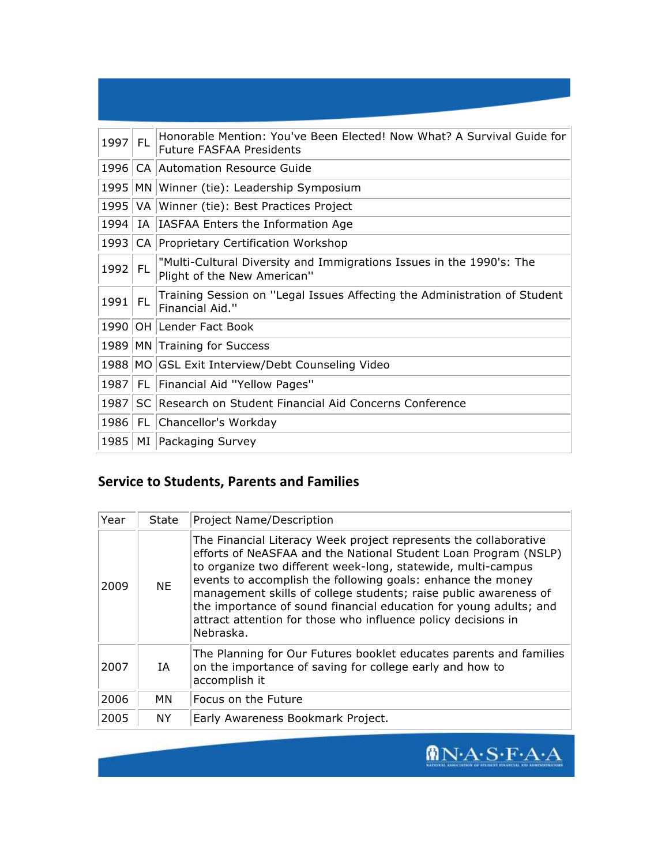| 1997 | FL. | Honorable Mention: You've Been Elected! Now What? A Survival Guide for<br><b>Future FASFAA Presidents</b> |
|------|-----|-----------------------------------------------------------------------------------------------------------|
| 1996 |     | CA Automation Resource Guide                                                                              |
| 1995 |     | MN Winner (tie): Leadership Symposium                                                                     |
| 1995 |     | VA Winner (tie): Best Practices Project                                                                   |
| 1994 |     | IA   IASFAA Enters the Information Age                                                                    |
| 1993 |     | CA Proprietary Certification Workshop                                                                     |
| 1992 | FL. | "Multi-Cultural Diversity and Immigrations Issues in the 1990's: The<br>Plight of the New American"       |
| 1991 | FL  | Training Session on "Legal Issues Affecting the Administration of Student<br>Financial Aid."              |
|      |     | 1990 OH Lender Fact Book                                                                                  |
|      |     | 1989   MN Training for Success                                                                            |
|      |     | 1988 MO GSL Exit Interview/Debt Counseling Video                                                          |
| 1987 | -FL | Financial Aid "Yellow Pages"                                                                              |
| 1987 |     | SC Research on Student Financial Aid Concerns Conference                                                  |
| 1986 |     | FL Chancellor's Workday                                                                                   |
| 1985 |     | MI Packaging Survey                                                                                       |

## **Service to Students, Parents and Families**

| Year | State     | <b>Project Name/Description</b>                                                                                                                                                                                                                                                                                                                                                                                                                                                           |
|------|-----------|-------------------------------------------------------------------------------------------------------------------------------------------------------------------------------------------------------------------------------------------------------------------------------------------------------------------------------------------------------------------------------------------------------------------------------------------------------------------------------------------|
| 2009 | <b>NE</b> | The Financial Literacy Week project represents the collaborative<br>efforts of NeASFAA and the National Student Loan Program (NSLP)<br>to organize two different week-long, statewide, multi-campus<br>events to accomplish the following goals: enhance the money<br>management skills of college students; raise public awareness of<br>the importance of sound financial education for young adults; and<br>attract attention for those who influence policy decisions in<br>Nebraska. |
| 2007 | IA        | The Planning for Our Futures booklet educates parents and families<br>on the importance of saving for college early and how to<br>accomplish it                                                                                                                                                                                                                                                                                                                                           |
| 2006 | МN        | Focus on the Future                                                                                                                                                                                                                                                                                                                                                                                                                                                                       |
| 2005 | NY.       | Early Awareness Bookmark Project.                                                                                                                                                                                                                                                                                                                                                                                                                                                         |

 $\sqrt{\mathbf{N} \cdot \mathbf{A} \cdot \mathbf{S} \cdot \mathbf{F} \cdot \mathbf{A} \cdot \mathbf{A}}$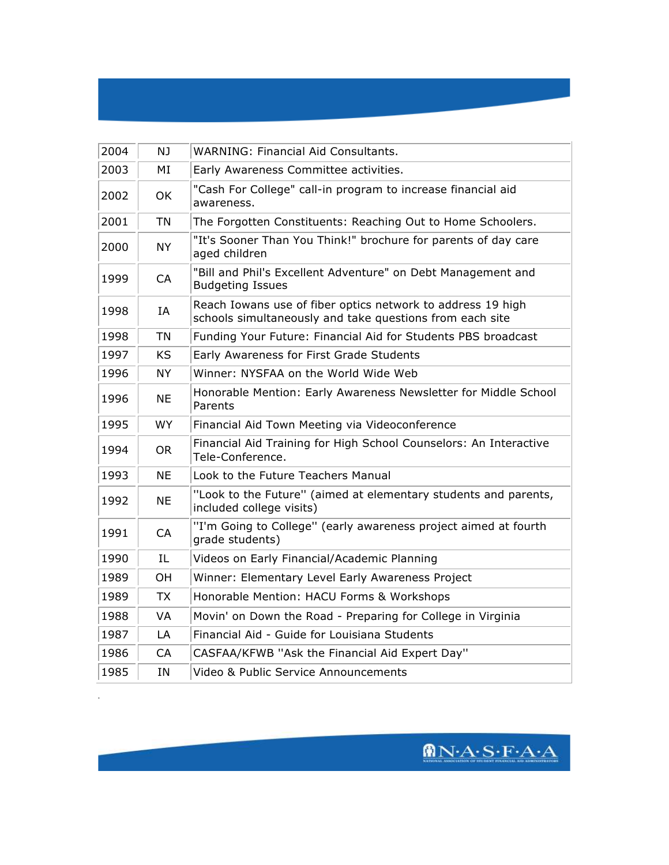### 2004 NJ WARNING: Financial Aid Consultants. 2003 MI Early Awareness Committee activities.  $2002$  OK  $\phantom{1}$  Cash For College" call-in program to increase financial aid awareness. 2001 | TN | The Forgotten Constituents: Reaching Out to Home Schoolers. 2000 NY TI's Sooner Than You Think!" brochure for parents of day care aged children 1999 CA Fill and Phil's Excellent Adventure" on Debt Management and Budgeting Issues  $1998$  IA Reach Iowans use of fiber optics network to address 19 high schools simultaneously and take questions from each site 1998 TN Funding Your Future: Financial Aid for Students PBS broadcast 1997 | KS | Early Awareness for First Grade Students 1996 NY Winner: NYSFAA on the World Wide Web 1996 NE Honorable Mention: Early Awareness Newsletter for Middle School Parents 1995 | WY | Financial Aid Town Meeting via Videoconference 1994 OR Financial Aid Training for High School Counselors: An Interactive Tele-Conference. 1993  $\parallel$  NE  $\parallel$  Look to the Future Teachers Manual 1992 NE TLook to the Future" (aimed at elementary students and parents, included college visits) 1991 CA T'I'm Going to College" (early awareness project aimed at fourth grade students) 1990 | IL Videos on Early Financial/Academic Planning 1989 | OH | Winner: Elementary Level Early Awareness Project 1989 TX Honorable Mention: HACU Forms & Workshops 1988 VA Movin' on Down the Road - Preparing for College in Virginia

1987 | LA | Financial Aid - Guide for Louisiana Students

1985 | IN | Video & Public Service Announcements

1986 | CA | CASFAA/KFWB "Ask the Financial Aid Expert Day"

 $MNA·S·F·A·A$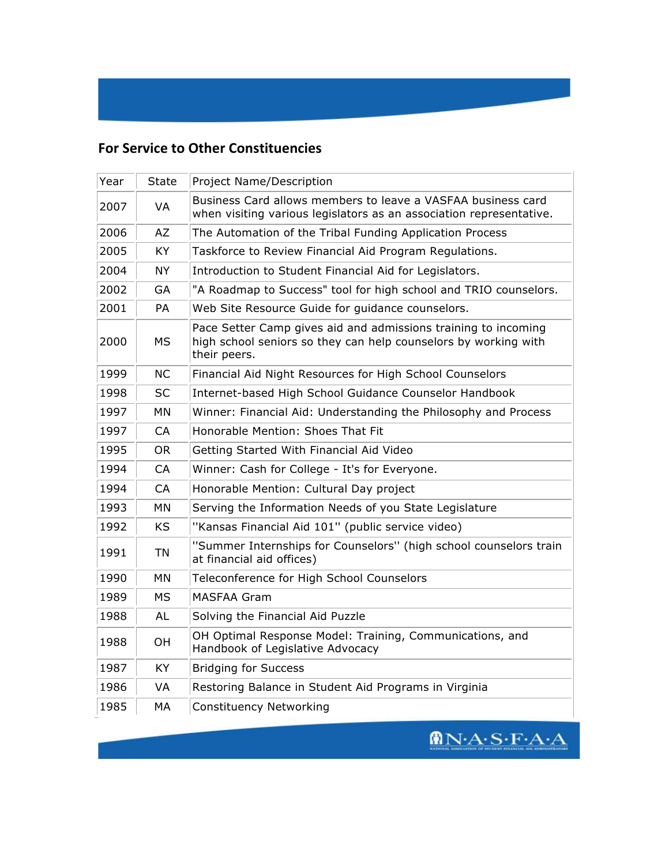## **For Service to Other Constituencies**

| Year | <b>State</b> | Project Name/Description                                                                                                                          |
|------|--------------|---------------------------------------------------------------------------------------------------------------------------------------------------|
| 2007 | VA           | Business Card allows members to leave a VASFAA business card<br>when visiting various legislators as an association representative.               |
| 2006 | AZ           | The Automation of the Tribal Funding Application Process                                                                                          |
| 2005 | <b>KY</b>    | Taskforce to Review Financial Aid Program Regulations.                                                                                            |
| 2004 | <b>NY</b>    | Introduction to Student Financial Aid for Legislators.                                                                                            |
| 2002 | GA           | "A Roadmap to Success" tool for high school and TRIO counselors.                                                                                  |
| 2001 | PA           | Web Site Resource Guide for guidance counselors.                                                                                                  |
| 2000 | <b>MS</b>    | Pace Setter Camp gives aid and admissions training to incoming<br>high school seniors so they can help counselors by working with<br>their peers. |
| 1999 | <b>NC</b>    | Financial Aid Night Resources for High School Counselors                                                                                          |
| 1998 | SC           | Internet-based High School Guidance Counselor Handbook                                                                                            |
| 1997 | <b>MN</b>    | Winner: Financial Aid: Understanding the Philosophy and Process                                                                                   |
| 1997 | <b>CA</b>    | Honorable Mention: Shoes That Fit                                                                                                                 |
| 1995 | <b>OR</b>    | Getting Started With Financial Aid Video                                                                                                          |
| 1994 | <b>CA</b>    | Winner: Cash for College - It's for Everyone.                                                                                                     |
| 1994 | <b>CA</b>    | Honorable Mention: Cultural Day project                                                                                                           |
| 1993 | MN           | Serving the Information Needs of you State Legislature                                                                                            |
| 1992 | <b>KS</b>    | "Kansas Financial Aid 101" (public service video)                                                                                                 |
| 1991 | <b>TN</b>    | "Summer Internships for Counselors" (high school counselors train<br>at financial aid offices)                                                    |
| 1990 | MN           | Teleconference for High School Counselors                                                                                                         |
| 1989 | МS           | MASFAA Gram                                                                                                                                       |
| 1988 | <b>AL</b>    | Solving the Financial Aid Puzzle                                                                                                                  |
| 1988 | OH           | OH Optimal Response Model: Training, Communications, and<br>Handbook of Legislative Advocacy                                                      |
| 1987 | KY           | <b>Bridging for Success</b>                                                                                                                       |
| 1986 | VA           | Restoring Balance in Student Aid Programs in Virginia                                                                                             |
| 1985 | МA           | <b>Constituency Networking</b>                                                                                                                    |

 $\pmb{\textcircled{h}}{\bf N}{\cdot}A{\cdot}{\bf S}{\cdot}{\bf F}{\cdot}A{\cdot}A$